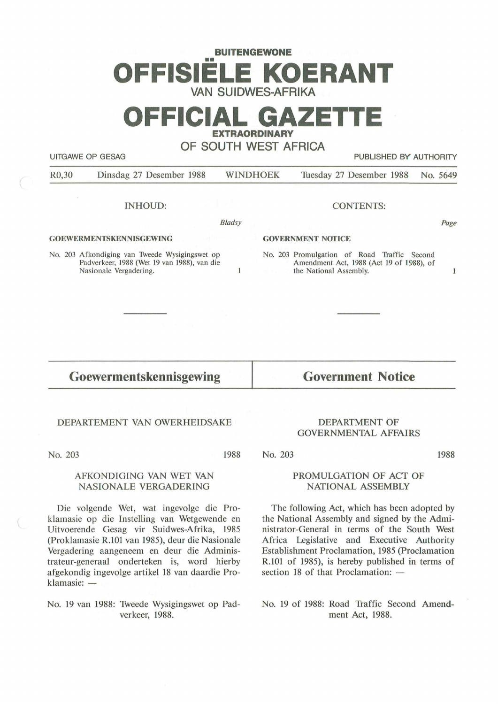# **BUITENGEWONE**  •• **OFFISIELE KOERANT VAN SUIDWES-AFRIKA**

# **OFFICIAL GAZETTE EXTRAORDINARY**

**OF SOUTH WEST AFRICA** 

UITGAWE OP GESAG **PUBLISHED BY AUTHORITY** 

R0,30 Dinsdag 27 Desember 1988 WINDHOEK Tuesday 27 Desember 1988 No. 5649

#### INHOUD:

Bladsy

 $\mathbf{1}$ 

#### **GOEWERMENTSKENNISGEWING**

No. 203 Afkondiging van Tweede Wysigingswet op Padverkeer, 1988 (Wet 19 van 1988), van die Nasionale Vergadering.

#### CONTENTS:

#### **GOVERNMENT NOfICE**

No. 203 Promulgation of Road Traffic Second Amendment Act, 1988 (Act 19 of 1988), of the National Assembly.

### **Goewermentskennisgewing**

**Government Notice** 

#### DEPARTEMENT VAN OWERHEIDSAKE

No. 203

1988

#### AFKONDIGING VAN WET VAN NASIONALE VERGADERING

Die volgende Wet, wat ingevolge die Proklamasie op die Instelling van Wetgewende en Uitvoerende Gesag vir Suidwes-Afrika, 1985 (Proklamasie R.101 van 1985), deur die Nasionale Vergadering aangeneem en deur die Administrateur-generaal onderteken is, word hierby afgekondig ingevolge artikel 18 van daardie Proklamasie: -

No. 19 van 1988: Tweede Wysigingswet op Padverkeer, 1988.

#### **DEPARTMENT OF GOVERNMENTAL AFFAIRS**

No. 203

**1988** 

Page

 $\mathbf{1}$ 

#### **PROMULGATION OF ACT OF NATIONAL ASSEMBLY**

The following Act, which has been adopted by the National Assembly and signed by the Administrator-General in terms of the South West Africa Legislative and Executive Authority Establishment Proclamation, 1985 (Proclamation R.101 of 1985), is hereby published in terms of section 18 of that Proclamation: -

No. 19 of 1988: Road Traffic Second Amendment Act, 1988.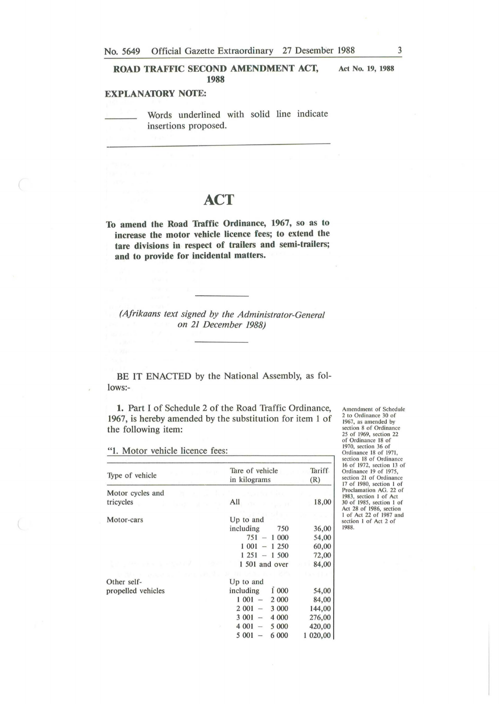**ROAD TRAFFIC SECOND AMENDMENT ACT, 1988** 

#### **EXPLANATORY NOfE:**

Words underlined with solid line indicate insertions proposed.

## **ACT**

**To amend the Road Traffic Ordinance, 1967, so as to increase the motor vehicle licence fees; to extend the tare divisions in respect of trailers and semi-trailers; and to provide for incidental matters.** 

*(Afrikaans text signed by the Administrator-General on 21 December 1988)* 

BE IT ENACTED by the National Assembly, as follows:-

**1.** Part I of Schedule 2 of the Road Traffic Ordinance, 1967, is hereby amended by the substitution for item 1 of the following item:

"l. Motor vehicle licence fees:

| Type of vehicle    | Tare of vehicle<br>in kilograms     | Tariff.<br>(R) |
|--------------------|-------------------------------------|----------------|
| Motor cycles and   |                                     |                |
| tricycles          | All                                 | 18,00          |
| Motor-cars         | Up to and                           |                |
|                    | including<br>750                    | 36,00          |
|                    | 751<br>1 000                        | 54,00          |
|                    | 1 001<br>1 250                      | 60,00          |
|                    | $1251 - 1500$                       | 72,00          |
|                    | 1 501 and over                      | 84,00          |
|                    |                                     |                |
| Other self-        | Up to and                           |                |
| propelled vehicles | including<br>1 000                  | 54,00          |
|                    | 1 001<br>2 0 0 0                    | 84,00          |
|                    | 2 001<br>3 000                      | 144,00         |
|                    | 3 0 0 1<br>4 0 0 0<br>$\frac{1}{2}$ | 276,00         |
|                    | 4 0 0 1<br>5 000                    | 420,00         |
|                    | 6 000<br>5 001                      | 1 020,00       |

Amendment of Schedule 2 to Ordinance 30 of I 967, as amended by section 8 of Ordinance 25 of 1969, section 22 of Ordinance 18 of 1970, section 36 of Ordinance 18 of 1971, section 18 of Ordinance 16 of 1972, section 13 of Ordinance 19 of 1975, section 21 of Ordinance 17 of 1980, section I of Proclamation AG. 22 of 1983, section I of Act 30 of 1985, section I of Act 28 of 1986, section I of Act 22 of 1987 a nd section I of Act 2 of 1988.

**Act No. 19, 1988**